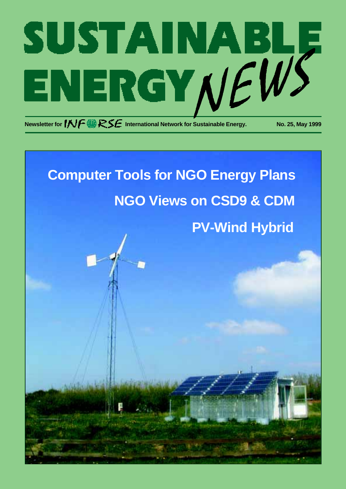

# **PV-Wind Hybrid Computer Tools for NGO Energy Plans NGO Views on CSD9 & CDM**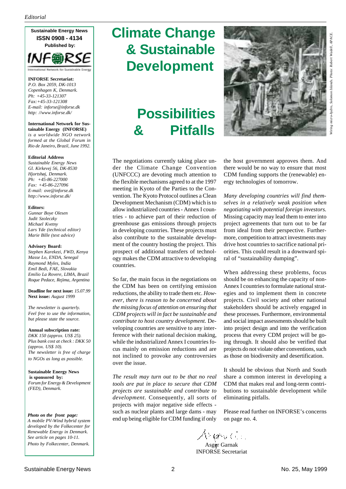**Sustainable Energy News ISSN 0908 - 4134 Published by:**



**INFORSE Secretariat:** *P.O. Box 2059, DK-1013 Copenhagen K, Denmark. Ph: +45-33-121307 Fax:+45-33-121308 E-mail: inforse@inforse.dk http: //www.inforse.dk/*

#### **International Network for Sustainable Energy (INFORSE)**

*is a worldwide NGO network formed at the Global Forum in Rio de Janeiro, Brazil, June 1992.*

#### **Editorial Address**

*Sustainable Energy News Gl. Kirkevej 56, DK-8530 Hjortshøj, Denmark. Ph: +45-86-227000 Fax: +45-86-227096 E-mail: ove@inforse.dk http://www.inforse.dk/*

#### **Editors:**

*Gunnar Boye Olesen Judit Szoleczky Michael Kvetny Lars Yde (technical editor) Marie Bille (text advice)*

#### **Advisory Board:**

*Stephen Karekezi, FWD, Kenya Masse Lo, ENDA, Senegal Raymond Myles, India Emil Bedi, FAE, Slovakia Emilio La Rovere, LIMA, Brazil Roque Pedace, Rejima, Argentina*

**Deadline for next issue:** *15.07.99* **Next issue:** *August 1999*

*The newsletter is quarterly. Feel free to use the information, but please state the source.*

**Annual subscription rate:** *DKK 150 (approx. US\$ 25). Plus bank cost at check : DKK 50 (approx. US\$ 10). The newsletter is free of charge*

**Sustainable Energy News is sponsored by:** *Forum for Energy & Development (FED), Denmark.*

*to NGOs as long as possible.*

*Photo on the front page: A mobile PV-Wind hybrid system developed by the Folkecenter for Renewable Energy in Denmark. See article on pages 10-11. Photo by Folkecenter, Denmark.*

# **Climate Change & Sustainable Development**

# **Possibilities & Pitfalls**



The negotiations currently taking place under the Climate Change Convention (UNFCCC) are devoting much attention to the flexible mechanisms agreed to at the 1997 meeting in Kyoto of the Parties to the Convention. The Kyoto Protocol outlines a Clean Development Mechanism (CDM) which is to allow industrialized countries - Annex I countries - to achieve part of their reduction of greenhouse gas emissions through projects in developing countries. These projects must also contribute to the sustainable development of the country hosting the project. This prospect of additional transfers of technology makes the CDM attractive to developing countries.

So far, the main focus in the negotiations on the CDM has been on certifying emission reductions, the ability to trade them etc. *However, there is reason to be concerned about the missing focus of attention on ensuring that CDM projects will in fact be sustainable and contribute to host country development.* Developing countries are sensitive to any interference with their national decision making, while the industrialized Annex I countries focus mainly on emission reductions and are not inclined to provoke any controversies over the issue.

*The result may turn out to be that no real tools are put in place to secure that CDM projects are sustainable and contribute to development*. Consequently, all sorts of projects with major negative side effects such as nuclear plants and large dams - may end up being eligible for CDM funding if only

the host government approves them. And there would be no way to ensure that most CDM funding supports the (renewable) energy technologies of tomorrow.

*Many developing countries will find themselves in a relatively weak position when negotiating with potential foreign investors.* Missing capacity may lead them to enter into project agreements that turn out to be far from ideal from their perspective. Furthermore, competition to attract investments may drive host countries to sacrifice national priorities. This could result in a downward spiral of "sustainability dumping".

When addressing these problems, focus should be on enhancing the capacity of non-Annex I countries to formulate national strategies and to implement them in concrete projects. Civil society and other national stakeholders should be actively engaged in these processes. Furthermore, environmental and social impact assessments should be built into project design and into the verification process that every CDM project will be going through. It should also be verified that projects do not violate other conventions, such as those on biodiversity and desertification.

It should be obvious that North and South share a common interest in developing a CDM that makes real and long-term contributions to sustainable development while eliminating pitfalls.

Please read further on INFORSE's concerns on page no. 4.

Arupa Gol

 Asger Garnak INFORSE Secretariat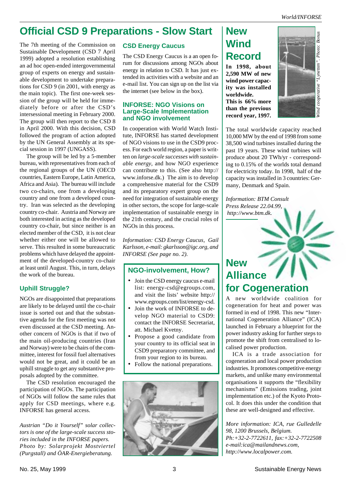## **Official CSD 9 Preparations - Slow Start**

The 7th meeting of the Commission on Sustainable Development (CSD 7 April 1999) adopted a resolution establishing an ad hoc open-ended intergovernmental group of experts on energy and sustainable development to undertake preparations for CSD 9 (in 2001, with energy as the main topic). The first one-week session of the group will be held for immediately before or after the CSD's intersessional meeting in February 2000. The group will then report to the CSD 8 in April 2000. With this decision, CSD followed the program of action adopted by the UN General Assembly at its special session in 1997 (UNGASS).

The group will be led by a 5-member bureau, with representatives from each of the regional groups of the UN (OECD countries, Eastern Europe, Latin America, Africa and Asia). The bureau will include two co-chairs, one from a developing country and one from a developed country. Iran was selected as the developing country co-chair. Austria and Norway are both interested in acting as the developed country co-chair, but since neither is an elected member of the CSD, it is not clear whether either one will be allowed to serve. This resulted in some bureaucratic problems which have delayed the appointment of the developed-country co-chair at least until August. This, in turn, delays the work of the bureau.

#### **Uphill Struggle?**

NGOs are disappointed that preparations are likely to be delayed until the co-chair issue is sorted out and that the substantive agenda for the first meeting was not even discussed at the CSD meeting. Another concern of NGOs is that if two of the main oil-producing countries (Iran and Norway) were to be chairs of the committee, interest for fossil fuel alternatives would not be great, and it could be an uphill struggle to get any substantive proposals adopted by the committee.

The CSD resolution encouraged the participation of NGOs. The participation of NGOs will follow the same rules that apply for CSD meetings, where e.g. INFORSE has general access.

*Austrian "Do it Yourself" solar collectors is one of the large-scale success stories included in the INFORSE papers. Photo by: Solarprojekt Mostviertel (Purgstall) and ÖAR-Energieberatung.*

#### **CSD Energy Caucus**

The CSD Energy Caucus is a an open forum for discussions among NGOs about energy in relation to CSD. It has just extended its activities with a website and an e-mail list. You can sign up on the list via the internet (see below in the box).

#### **INFORSE: NGO Visions on Large-Scale Implementation and NGO involvement**

In cooperation with World Watch Institute, INFORSE has started development of NGO visions to use in the CSD9 process. For each world region, a paper is written on *large-scale successes with sustainable energy*, and how NGO experience can contribute to this. (See also http:// www.inforse.dk.) The aim is to develop a comprehensive material for the CSD9 and its preparatory expert group on the need for integration of sustainable energy in other sectors, the scope for large-scale implementation of sustainable energy in the 21th century, and the crucial roles of NGOs in this process.

*Information: CSD Energy Caucus, Gail Karlsson, e-mail: gkarlsson@igc.org, and INFORSE (See page no. 2).*

#### **NGO-involvement, How?**

- Join the CSD energy caucus e-mail list: energy-csd@egroups.com, and visit the lists' website http:// www.egroups.com/list/energy-csd.
- Join the work of INFORSE to develop NGO material to CSD9: contact the INFORSE Secretariat, att. Michael Kvetny.
- Propose a good candidate from your country to its official seat in CSD9 preparatory committee, and from your region to its bureau.
- Follow the national preparations.



## **New Wind Record**

**In 1998, about 2,590 MW of new wind power capacity was installed worldwide. This is 66% more than the previous record year, 1997.**



The total worldwide capacity reached 10,000 MW by the end of 1998 from some 38,500 wind turbines installed during the past 19 years. These wind turbines will produce about 20 TWh/yr - corresponding to 0.15% of the worlds total demand for electricity today. In 1998, half of the capacity was installed in 3 countries: Germany, Denmark and Spain.

*Information: BTM Consult Press Release 22.04.99, http://www.btm.dk.*

## **New Alliance for Cogeneration**

A new worldwide coalition for cogeneration for heat and power was formed in end of 1998. This new "International Cogeneration Alliance" (ICA) launched in February a blueprint for the power industry asking for further steps to promote the shift from centralised to localised power production.

ICA is a trade association for cogeneration and local power production industries. It promotes competitive energy markets, and unlike many environmental organisations it supports the "flexibility mechanisms" (Emissions trading, joint implementation etc.) of the Kyoto Protocol. It does this under the condition that these are well-designed and effective.

*More information: ICA, rue Gulledelle 98, 1200 Brussels, Belgium. Ph:+32-2-7722611, fax:+32-2-7722508 e-mail:ica@mailandnews.com, http://www.localpower.com.*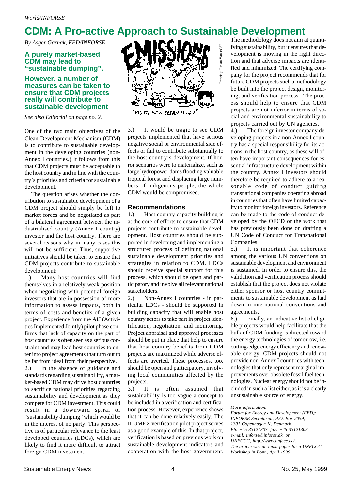## **CDM: A Pro-active Approach to Sustainable Development**

*By Asger Garnak, FED/INFORSE*

#### **A purely market-based CDM may lead to "sustainable dumping".**

#### **However, a number of measures can be taken to ensure that CDM projects really will contribute to sustainable development**

*See also Editorial on page no. 2.*

One of the two main objectives of the Clean Development Mechanism (CDM) is to contribute to sustainable development in the developing countries (non-Annex I countries.) It follows from this that CDM projects must be acceptable to the host country and in line with the country's priorities and criteria for sustainable development.

The question arises whether the contribution to sustainable development of a CDM project should simply be left to market forces and be negotiated as part of a bilateral agreement between the industrialised country (Annex I country) investor and the host country. There are several reasons why in many cases this will not be sufficient. Thus, supportive initiatives should be taken to ensure that CDM projects contribute to sustainable development:

1.) Many host countries will find themselves in a relatively weak position when negotiating with potential foreign investors that are in possession of more information to assess impacts, both in terms of costs and benefits of a given project. Experience from the AIJ (Activities Implemented Jointly) pilot phase confirms that lack of capacity on the part of host countries is often seen as a serious constraint and may lead host countries to enter into project agreements that turn out to be far from ideal from their perspective.

2.) In the absence of guidance and standards regarding sustainability, a market-based CDM may drive host countries to sacrifice national priorities regarding sustainability and development as they compete for CDM investment. This could result in a downward spiral of "sustainability dumping" which would be in the interest of no party. This perspective is of particular relevance to the least developed countries (LDCs), which are likely to find it more difficult to attract foreign CDM investment.



Drawing: Rustan Vania/CSE

RIGHT! NOW CLEAN IT UP:

3.) It would be tragic to see CDM projects implemented that have serious negative social or environmental side effects or fail to contribute substantially to the host country's development. If horror scenarios were to materialize, such as large hydropower dams flooding valuable tropical forest and displacing large numbers of indigenous people, the whole CDM would be compromised.

#### **Recommendations**

1.) Host country capacity building is at the core of efforts to ensure that CDM projects contribute to sustainable development. Host countries should be supported in developing and implementing a structured process of defining national sustainable development priorities and strategies in relation to CDM. LDCs should receive special support for this process, which should be open and participatory and involve all relevant national stakeholders.

2.) Non-Annex I countries - in particular LDCs - should be supported in building capacity that will enable host country actors to take part in project identification, negotiation, and monitoring. Project appraisal and approval processes should be put in place that help to ensure that host country benefits from CDM projects are maximized while adverse effects are averted. These processes, too, should be open and participatory, involving local communities affected by the projects.

3.) It is often assumed that sustainability is too vague a concept to be included in a verification and certification process. However, experience shows that it can be done relatively easily. The ILUMEX verification pilot project serves as a good example of this. In that project, verification is based on previous work on sustainable development indicators and cooperation with the host government. The methodology does not aim at quantifying sustainability, but it ensures that development is moving in the right direction and that adverse impacts are identified and minimized. The certifying company for the project recommends that for future CDM projects such a methodology be built into the project design, monitoring, and verification process. The process should help to ensure that CDM projects are not inferior in terms of social and environmental sustainability to projects carried out by UN agencies.

4.) The foreign investor company developing projects in a non-Annex I country has a special responsibility for its actions in the host country, as these will often have important consequences for essential infrastructure development within the country. Annex I investors should therefore be required to adhere to a reasonable code of conduct guiding transnational companies operating abroad in countries that often have limited capacity to monitor foreign investors. Reference can be made to the code of conduct developed by the OECD or the work that has previously been done on drafting a UN Code of Conduct for Transnational Companies.

5.) It is important that coherence among the various UN conventions on sustainable development and environment is sustained. In order to ensure this, the validation and verification process should establish that the project does not violate either sponsor or host country commitments to sustainable development as laid down in international conventions and agreements.

6.) Finally, an indicative list of eligible projects would help facilitate that the bulk of CDM funding is directed toward the energy technologies of tomorrow, i.e. cutting-edge energy efficiency and renewable energy. CDM projects should not provide non-Annex I countries with technologies that only represent marginal improvements over obsolete fossil fuel technologies. Nuclear energy should not be included in such a list either, as it is a clearly unsustainable source of energy.

*More information:*

*Forum for Energy and Development (FED)/ INFORSE Secretariat, P.O. Box 2059, 1301 Copenhagen K, Denmark. Ph: +45 33121307, fax: +45 33121308, e-mail: inforse@inforse.dk. or UNFCCC, http://www.unfccc.de/. The article was an input paper for a UNFCCC Workshop in Bonn, April 1999.*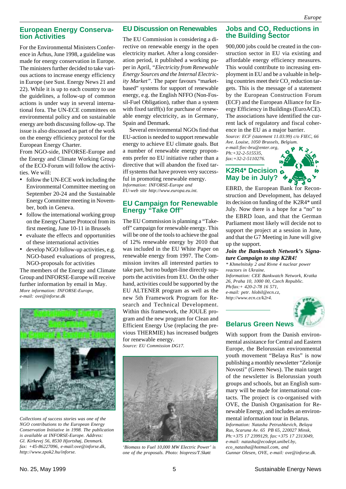#### **European Energy Conservation Activities**

For the Environmental Ministers Conference in Århus, June 1998, a guideline was made for energy conservation in Europe. The ministers further decided to take various actions to increase energy efficiency in Europe (see Sust. Energy News 21 and 22). While it is up to each country to use the guidelines, a follow-up of common actions is under way in several international fora. The UN-ECE committees on environmental policy and on sustainable energy are both discussing follow-up. The issue is also discussed as part of the work on the energy efficiency protocol for the European Energy Charter.

From NGO-side, INFORSE-Europe and the Energy and Climate Working Group of the ECO-Forum will follow the activities. We will:

- follow the UN-ECE work including the Environmental Committee meeting on September 20-24 and the Sustainable Energy Committee meeting in November, both in Geneva.
- follow the international working group on the Energy Charter Protocol from its first meeting, June 10-11 in Brussels
- evaluate the effects and opportunities of these international activities
- develop NGO follow-up activities, e.g. NGO-based evaluations of progress, NGO-proposals for activities

The members of the Energy and Climate Group and INFORSE-Europe will receive further information by email in May. *More information: INFORSE-Europe, e-mail: ove@inforse.dk*



*Collections of success stories was one of the NGO contributions to the European Energy Conservation Initiative in 1998. The publication is available at INFORSE-Europe. Address: Gl. Kirkevej 56, 8530 Hjortshøj, Denmark. fax: +45-86227096, e-mail:ove@inforse.dk, http://www.zpok2.hu/inforse.*

#### **EU Discussion on Renewables**

The EU Commission is considering a directive on renewable energy in the open electricity market. After a long consideration period, it published a working paper in April, *"Electricity from Renewable Energy Sources and the Internal Electricity Market"*. The paper favours "marketbased" systems for support of renewable energy, e.g. the English NFFO (Non-Fossil-Fuel Obligation), rather than a system with fixed tariff(s) for purchase of renewable energy electricity, as in Germany, Spain and Denmark.

Several environmental NGOs find that EU-action is needed to support renewable energy to achieve EU climate goals. But a number of renewable energy proponents prefer no EU initiative rather than a directive that will abandon the fixed tariff systems that have proven very successful in promoting renewable energy. *Information: INFORSE-Europe and EU-web site http://www.europa.eu.int.*

#### **EU Campaign for Renewable Energy "Take Off"**

The EU Commission is planning a "Takeoff" campaign for renewable energy. This will be one of the tools to achieve the goal of 12% renewable energy by 2010 that was included in the EU White Paper on renewable energy from 1997. The Commission invites all interested parties to take part, but no budget-line directly supports the activities from EU. On the other hand, activities could be supported by the EU ALTENER program as well as the new 5th Framework Program for Research and Technical Development. Within this framework, the JOULE program and the new program for Clean and Efficient Energy Use (replacing the previous THERMIE) has increased budgets for renewable energy.

*Source: EU Commission DG17.*



*'Biomass to Fuel 10,000 MW Electric Power' is one of the proposals. Photo: biopress/T.Skøtt*

#### **Jobs and CO. Reductions in the Building Sector**

900,000 jobs could be created in the construction sector in EU via existing and affordable energy efficiency measures. This would contribute to increasing employment in EU and be a valuable in helping countries meet their  $\mathrm{CO}_2$  reduction targets. This is the message of a statement by the European Construction Forum (ECF) and the European Alliance for Energy Efficiency in Buildings (EuroACE). The associations have identified the current lack of regulatory and fiscal coherence in the EU as a major barrier.

*Source: ECF (statement 11.03.99) c/o FIEC, 66 Ave. Louise, 1050 Brussels, Belgium.*

*e-mail:fiec-bru@enter.org, Ph:+32-2-515535, fax:+32-2-5110276.*

#### **K2R4\* Decision May be in July?**



EBRD, the European Bank for Reconstruction and Development, has delayed its decision on funding of the K2R4\* until July. Now there is a hope for a "no" to the EBRD loan, and that the German Parliament most likely will decide not to support the project at a session in June, and that the G7 Meeting in June will give up the support.

#### *Join the Bankwatch Network's Signature Campaign to stop K2R4!*

*\* Khmelnitsky 2 and Rivne 4 nuclear power reactors in Ukraine. Information: CEE Bankwatch Network, Kratka 26, Praha 10, 1000 00, Czech Republic. Ph/fax:+ 420-2-78 16 571, e-mail: petr. hlobil@ecn.cz, http://www.ecn.cz/k2r4.*



#### **Belarus Green News**

With support from the Danish environmental assistance for Central and Eastern Europe, the Belorussian environmental youth movement "Belaya Rus" is now publishing a monthly newsletter "Zelonije Novosti" (Green News). The main target of the newsletter is Belorussian youth groups and schools, but an English summary will be made for international contacts. The project is co-organised with OVE, the Danish Organisation for Renewable Energy, and includes an environmental information tour in Belarus.

*Information: Natasha Petrushkevich, Belaya Rus, Scaruna Av. 65 PB 65, 220027 Minsk, Ph:+375 17 2399129, fax:+375 17 2313049, e-mail: natasha@ecodept.unibel.by, eco\_natasha@hotmail.com, and Gunnar Olesen, OVE, e-mail: ove@inforse.dk.*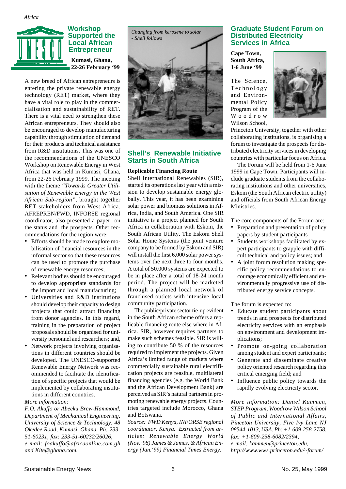

A new breed of African entrepreneurs is entering the private renewable energy technology (RET) market, where they have a vital role to play in the commercialisation and sustainability of RET. There is a vital need to strengthen these African entrepreneurs. They should also be encouraged to develop manufacturing capability through stimulation of demand for their products and technical assistance from R&D institutions. This was one of the recommendations of the UNESCO Workshop on Renewable Energy in West Africa that was held in Kumasi, Ghana, from 22-26 February 1999. The meeting with the theme *"Towards Greater Utilisation of Renewable Energy in the West African Sub-region"*, brought together RET stakeholders from West Africa. AFREPREN/FWD, INFORSE regional coordinator, also presented a paper on the status and the prospects*.* Other recommendations for the region were:

- Efforts should be made to explore mobilisation of financial resources in the informal sector so that these resources can be used to promote the purchase of renewable energy resources;
- Relevant bodies should be encouraged to develop appropriate standards for the import and local manufacturing;
- Universities and R&D institutions should develop their capacity to design projects that could attract financing from donor agencies. In this regard, training in the preparation of project proposals should be organised for university personnel and researchers; and,
- Network projects involving organisations in different countries should be developed. The UNESCO-supported Renewable Energy Network was recommended to facilitate the identification of specific projects that would be implemented by collaborating institutions in different countries.

#### *More information:*

*F.O. Akuffo or Abeeku Brew-Hammond, Department of Mechanical Engineering, University of Science & Technology. 48 Okedee Road, Kumasi, Ghana. Ph: 233- 51-60231, fax: 233-51-60232/26026, e-mail: foakuffo@africaonline.com.gh and Kite@ghana.com.*



#### **Shell's Renewable Initiative Starts in South Africa**

#### **Replicable Financing Route**

Shell International Renewables (SIR), started its operations last year with a mission to develop sustainable energy globally. This year, it has been examining solar power and biomass solutions in Africa, India, and South America. One SIR initiative is a project planned for South Africa in collaboration with Eskom, the South African Utility. The Eskom Shell Solar Home Systems (the joint venture company to be formed by Eskom and SIR) will install the first 6,000 solar power systems over the next three to four months. A total of 50.000 systems are expected to be in place after a total of 18-24 month period. The project will be marketed through a planned local network of franchised outlets with intensive local community participation.

The public/private sector tie-up evident in the South African scheme offers a replicable financing route else where in Africa. SIR, however requires partners to make such schemes feasible. SIR is willing to contribute 50 % of the resources required to implement the projects. Given Africa's limited range of markets where commercially sustainable rural electrification projects are feasible, multilateral financing agencies (e.g. the World Bank and the African Development Bank) are perceived as SIR's natural partners in promoting renewable energy projects. Countries targeted include Morocco, Ghana and Botswana.

*Source: FWD Kenya, INFORSE regional coordinator, Kenya. Extracted from articles: Renewable Energy World (Nov.'98) James & James, & African Energy (Jan.'99) Financial Times Energy.*

#### **Graduate Student Forum on Distributed Electricity Services in Africa**

#### **Cape Town, South Africa, 1-6 June '99**

The Science, Technology and Environmental Policy Program of the Woodrow Wilson School,



Princeton University, together with other collaborating institutions, is organising a forum to investigate the prospects for distributed electricity services in developing countries with particular focus on Africa.

The Forum will be held from 1-6 June 1999 in Cape Town. Participants will include graduate students from the collaborating institutions and other universities, Eskom (the South African electric utility) and officials from South African Energy Ministries.

The core components of the Forum are:

- Preparation and presentation of policy papers by student participants
- Students workshops facilitated by expert participants to grapple with difficult technical and policy issues; and
- A joint forum resolution making specific policy recommendations to encourage economically efficient and environmentally progressive use of distributed energy service concepts.

The forum is expected to:

- Educate student participants about trends in and prospects for distributed electricity services with an emphasis on environment and development implications;
- Promote on-going collaboration among student and expert participants;
- Generate and disseminate creative policy oriented research regarding this critical emerging field; and
- Influence public policy towards the rapidly evolving electricity sector.

*More information: Daniel Kammen, STEP Program, Woodrow Wilson School of Public and International Affairs, Pinceton University, Five Ivy Lane NJ 08544-1013, USA. Ph: +1-609-258-2758, fax: +1-609-258-6082/2394, e-mail: kammen@princeton.edu, http://www.wws.princeton.edu/~forum/*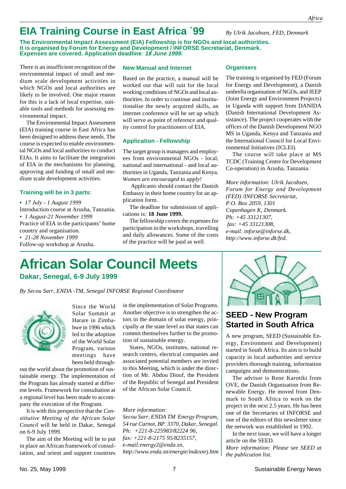## **EIA Training Course in East Africa ´99**

**The Environmental Impact Assessment (EIA) Fellowship is for NGOs and local authorities. It is organised by Forum for Energy and Development / INFORSE Secretariat, Denmark. Expenses are covered. Application deadline**: **18 June 1999.**

There is an insufficient recognition of the environmental impact of small and medium scale development activities in which NGOs and local authorities are likely to be involved. One major reason for this is a lack of local expertise, suitable tools and methods for assessing environmental impact.

The Environmental Impact Assessment (EIA) training course in East Africa has been designed to address these needs. The course is expected to enable environmental NGOs and local authorities to conduct EIAs. It aims to facilitate the integration of EIA in the mechanisms for planning, approving and funding of small and medium scale development activities.

#### **Training will be in 3 parts:**

• *17 July - 1 August 1999* Introduction course at Arusha, Tanzania. • *1 August-21 November 1999* Practice of EIA in the participants' home country and organisation. • *21-28 November 1999* Follow-up workshop at Arusha.

#### **New Manual and Internet**

Based on the practice, a manual will be worked out that will suit for the local working conditions of NGOs and local authorities. In order to continue and institutionalise the newly acquired skills, an internet conference will be set up which will serve as point of reference and quality control for practitioners of EIA.

#### **Application - Fellowship**

The target group is managers and employees from environmental NGOs - local, national and international - and local authorities in Uganda, Tanzania and Kenya. *Women are encouraged to apply!*

 Applicants should contact the Danish Embassy in their home country for an application form.

The deadline for submission of applications is*:* **18 June 1999.**

The fellowship covers the expenses for participation in the workshops, travelling and daily allowances. Some of the costs of the practice will be paid as well.

#### **Organisers**

The training is organised by FED (Forum for Energy and Development), a Danish umbrella organisation of NGOs, and JEEP (Joint Energy and Environment Projects) in Uganda with support from DANIDA (Danish International Development Assistance). The project cooperates with the offices of the Danish Development NGO MS in Uganda, Kenya and Tanzania and the International Council for Local Environmental Initiatives (ICLEI).

*By Ulrik Jacobsen, FED, Denmark*

The course will take place at MS TCDC (Training Centre for Development Co-operation) in Arusha, Tanzania.

*More information: Ulrik Jacobsen, Forum for Energy and Development (FED) /INFORSE Secretariat, P.O. Box 2059, 1301 Copenhagen K, Denmark. Ph: +45 33121307, fax: +45 33121308, e-mail: inforse@inforse.dk, http://www.inforse.dk/fed.*

# **African Solar Council Meets**

**Dakar, Senegal, 6-9 July 1999**

*By Secou Sarr, ENDA -TM, Senegal INFORSE Regional Coordinator*



Since the World Solar Summit at Harare in Zimbabwe in 1996 which led to the adoption of the World Solar Program, various meetings have been held through-

out the world about the promotion of sustainable energy. The implementation of the Program has already started at different levels. Framework for consultation at a regional level has been made to accompany the execution of the Program.

It is with this perspective that the *Constitutive Meeting of the African Solar Council* will be held in Dakar, Senegal on 6-9 July 1999.

The aim of the Meeting will be to put in place an African framework of consultation, and orient and support countries

in the implementation of Solar Programs. Another objective is to strengthen the actors in the domain of solar energy, principally at the state level so that states can commit themselves further to the promotion of sustainable energy.

States, NGOs, institutes, national research centers, electrical companies and associated potential members are invited to this Meeting, which is under the direction of Mr. Abdou Diouf, the President of the Republic of Senegal and President of the African Solar Council.

*More information: Secou Sarr, ENDA TM Energy Program, 54 rue Carnot, BP. 3370, Dakar, Senegal. Ph: +221-8-225983/82224 96, fax: +221-8-2175 95/8235157, e-mail:energy2@enda.sn, http://www.enda.sn/energie/indexnrj.htm*



#### **SEED - New Program Started in South Africa**

A new program, SEED (Sustainable Energy, Environment and Development) started in South Africa. Its aim is to build capacity in local authorities and service providers thorough training, information campaigns and demonstrations.

The advisor is Rene Karottki from OVE, the Danish Organisation from Renewable Energy. He moved from Denmark to South Africa to work on the project in the next 2.5 years. He has been one of the Secretaries of INFORSE and one of the editors of this newsletter since the network was established in 1992.

In the next issue, we will have a longer article on the SEED.

*More information: Please see SEED at the publication list.*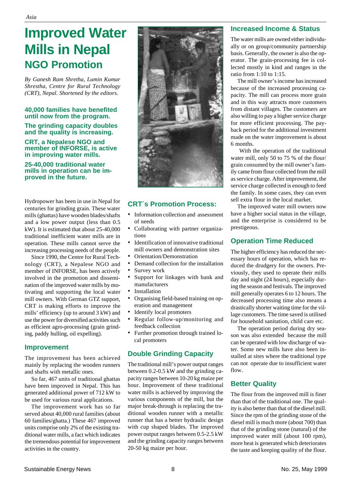## **Improved Water Mills in Nepal NGO Promotion**

*By Ganesh Ram Shretha, Lumin Kumar Shrestha, Centre for Rural Technology (CRT), Nepal. Shortened by the editors.*

#### **40,000 families have benefited until now from the program.**

**The grinding capacity doubles and the quality is increasing.**

#### **CRT, a Nepalese NGO and member of INFORSE, is active in improving water mills.**

**25-40,000 traditional water mills in operation can be improved in the future.**

Hydropower has been in use in Nepal for centuries for grinding grain. These water mills (ghattas) have wooden blades/shafts and a low power output (less than 0.5 kW). It is estimated that about 25-40,000 traditional inefficient water mills are in operation. These mills cannot serve the increasing processing needs of the people.

Since 1990, the Centre for Rural Technology (CRT), a Nepalese NGO and member of INFORSE, has been actively involved in the promotion and dissemination of the improved water mills by motivating and supporting the local water mill owners. With German GTZ support, CRT is making efforts to improve the mills' efficiency (up to around 3 kW) and use the power for diversified activities such as efficient agro-processing (grain grinding, paddy hulling, oil expelling).

#### **Improvement**

The improvement has been achieved mainly by replacing the wooden runners and shafts with metallic ones.

So far, 467 units of traditional ghattas have been improved in Nepal. This has generated additional power of 712 kW to be used for various rural applications.

The improvement work has so far served about 40,000 rural families (about 60 families/ghatta.) These 467 improved units comprise only 2% of the existing traditional water mills, a fact which indicates the tremendous potential for improvement activities in the country.



#### **CRT´s Promotion Process:**

- Information collection and assessment of needs
- Collaborating with partner organizations
- Identification of innovative traditional mill owners and demonstration sites
- Orientation/Demonstration
- Demand collection for the installation
- Survey work
- Support for linkages with bank and manufacturers
- **Installation**
- Organising field-based training on operation and management
- Identify local promoters
- Regular follow-up/monitoring and feedback collection
- Further promotion through trained local promoters

#### **Double Grinding Capacity**

The traditional mill's power output ranges between 0.2-0.5 kW and the grinding capacity ranges between 10-20 kg maize per hour. Improvement of these traditional water mills is achieved by improving the various components of the mill, but the major break-through is replacing the traditional wooden runner with a metallic runner that has a better hydraulic design with cup shaped blades. The improved power output ranges between 0.5-2.5 kW and the grinding capacity ranges between 20-50 kg maize per hour.

#### **Increased Income & Status**

The water mills are owned either individually or on group/community partnership basis. Generally, the owner is also the operator. The grain-processing fee is collected mostly in kind and ranges in the ratio from 1:10 to 1:15.

The mill owner's income has increased because of the increased processing capacity. The mill can process more grain and in this way attracts more customers from distant villages. The customers are also willing to pay a higher service charge for more efficient processing. The payback period for the additional investment made on the water improvement is about 6 months.

 With the operation of the traditional water mill, only 50 to 75 % of the flour/ grain consumed by the mill owner's family came from flour collected from the mill as service charge. After improvement, the service charge collected is enough to feed the family. In some cases, they can even sell extra flour in the local market.

The improved water mill owners now have a higher social status in the village, and the enterprise is considered to be prestigeous.

#### **Operation Time Reduced**

The higher efficiency has reduced the necessary hours of operation, which has reduced the drudgery for the owners. Previously, they used to operate their mills day and night (24 hours), especially during the season and festivals. The improved mill generally operates 6 to 12 hours. The decreased processing time also means a drastically shorter waiting time for the village customers. The time saved is utilised for household sanitation, child care etc.

The operation period during dry season was also extended because the mill can be operated with low discharge of water. Some new mills have also been installed at sites where the traditional type can not operate due to insufficient water flow.

#### **Better Quality**

The flour from the improved mill is finer than that of the traditional one. The quality is also better than that of the diesel mill. Since the rpm of the grinding stone of the diesel mill is much more (about 700) than that of the grinding stone (natural) of the improved water mill (about 100 rpm), more heat is generated which deteriorates the taste and keeping quality of the flour.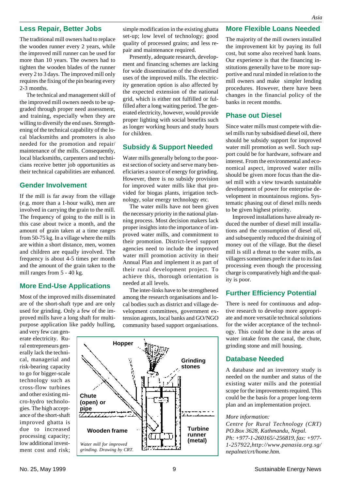#### **Less Repair, Better Jobs**

The traditional mill owners had to replace the wooden runner every 2 years, while the improved mill runner can be used for more than 10 years. The owners had to tighten the wooden blades of the runner every 2 to 3 days. The improved mill only requires the fixing of the pin bearing every 2-3 months.

The technical and management skill of the improved mill owners needs to be upgraded through proper need assessment, and training, especially when they are willing to diversify the end uses. Strengthening of the technical capability of the local blacksmiths and promoters is also needed for the promotion and repair/ maintenance of the mills. Consequently, local blacksmiths, carpenters and technicians receive better job opportunities as their technical capabilities are enhanced.

#### **Gender Involvement**

If the mill is far away from the village (e.g. more than a 1-hour walk), men are involved in carrying the grain to the mill. The frequency of going to the mill is in this case about twice a month, and the amount of grain taken at a time ranges from 50-75 kg. In a village where the mills are within a short distance, men, women and children are equally involved. The frequency is about 4-5 times per month and the amount of the grain taken to the mill ranges from 5 - 40 kg.

#### **More End-Use Applications**

Most of the improved mills disseminated are of the short-shaft type and are only used for grinding. Only a few of the improved mills have a long shaft for multipurpose application like paddy hulling,

and very few can generate electricity. Rural entrepreneurs generally lack the technical, managerial and risk-bearing capacity to go for bigger-scale technology such as cross-flow turbines and other existing micro-hydro technologies. The high acceptance of the short-shaft improved ghatta is due to increased processing capacity; low additional investment cost and risk; simple modification in the existing ghatta set-up; low level of technology; good quality of processed grains; and less repair and maintenance required.

Presently, adequate research, development and financing schemes are lacking for wide dissemination of the diversified uses of the improved mills. The electricity generation option is also affected by the expected extension of the national grid, which is either not fulfilled or fulfilled after a long waiting period. The generated electricity, however, would provide proper lighting with social benefits such as longer working hours and study hours for children.

#### **Subsidy & Support Needed**

Water mills generally belong to the poorest section of society and serve many beneficiaries a source of energy for grinding. However, there is no subsidy provision for improved water mills like that provided for biogas plants, irrigation technology, solar energy technology etc.

The water mills have not been given the necessary priority in the national planning process. Most decision makers lack proper insights into the importance of improved water mills, and commitment to their promotion. District-level support agencies need to include the improved water mill promotion activity in their Annual Plan and implement it as part of their rural development project. To achieve this, thorough orientation is needed at all levels.

The inter-links have to be strengthened among the research organisations and local bodies such as district and village development committees, government extension agents, local banks and GO/NGO community based support organisations.



#### **More Flexible Loans Needed**

The majority of the mill owners installed the improvement kit by paying its full cost, but some also received bank loans. Our experience is that the financing institutions generally have to be more supportive and rural minded in relation to the mill owners and make simpler lending procedures. However, there have been changes in the financial policy of the banks in recent months.

#### **Phase out Diesel**

Since water mills must compete with diesel mills run by subsidised diesel oil, there should be subsidy support for improved water mill promotion as well. Such support could be for hardware, software and interest. From the environmental and economical aspect, improved water mills should be given more focus than the diesel mill with a view towards sustainable development of power for enterprise development in mountainous regions. Systematic phasing out of diesel mills needs to be given highest priority.

Improved installations have already reduced the number of diesel mill installations and the consumption of diesel oil, and subsequently reduced the draining of money out of the village. But the diesel mill is still a threat to the water mills, as villagers sometimes prefer it due to its fast processing even though the processing charge is comparatively high and the quality is poor.

#### **Further Efficiency Potential**

There is need for continuous and adoptive research to develop more appropriate and more versatile technical solutions for the wider acceptance of the technology. This could be done in the areas of water intake from the canal, the chute, grinding stone and mill housing.

#### **Database Needed**

A database and an inventory study is needed on the number and status of the existing water mills and the potential scope for the improvements required. This could be the basis for a proper long-term plan and an implementation project.

#### *More information:*

*Centre for Rural Technology (CRT) PO.Box 3628, Kathmandu, Nepal. Ph: +977-1-260165/-256819, fax: +977- 1-257922,http://www.panasia.org.sg/ nepalnet/crt/home.htm.*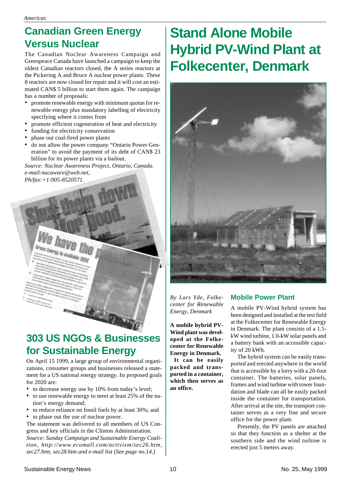## **Canadian Green Energy Versus Nuclear**

The Canadian Nuclear Awareness Campaign and Greenpeace Canada have launched a campaign to keep the oldest Canadian reactors closed, the A series reactors at the Pickering A and Bruce A nuclear power plants. These 8 reactors are now closed for repair and it will cost an estimated CAN\$ 5 billion to start them again. The campaign has a number of proposals:

- promote renewable energy with minimum quotas for renewable energy plus mandatory labelling of electricity specifying where it comes from
- promote efficient cogeneration of heat and electricity
- funding for electricity conservation
- phase out coal-fired power plants
- do not allow the power company "Ontario Power Generation" to avoid the payment of its debt of CAN\$ 23 billion for its power plants via a bailout.

*Source: Nuclear Awareness Project, Ontario, Canada. e-mail:nucaware@web.net, Ph/fax:+1-905-8520571.*



## **303 US NGOs & Businesses for Sustainable Energy**

On April 15 1999, a large group of environmental organizations, consumer groups and businesses released a statement for a US national energy strategy. Its proposed goals for 2020 are:

- to decrease energy use by 10% from today's level;
- to use renewable energy to meet at least 25% of the nation's energy demand;
- to reduce reliance on fossil fuels by at least 30%; and • to phase out the use of nuclear power.

The statement was delivered to all members of US Congress and key officials in the Clinton Administration.

*Source: Sunday Campaign and Sustainable Energy Coalition, http://www.ecomall.com/activism/sec26.htm, sec27.htm, sec28.htm and e-mail list (See page no.14.)*

# **Stand Alone Mobile Hybrid PV-Wind Plant at Folkecenter, Denmark**



*By Lars Yde, Folkecenter for Renewable Energy, Denmark*

**A mobile hybrid PV-Wind plant was developed at the Folkecenter for Renewable Energy in Denmark.**

 **It can be easily packed and transported in a container, which then serves as an office.**

#### **Mobile Power Plant**

A mobile PV-Wind hybrid system has been designed and installed at the test field at the Folkecenter for Renewable Energy in Denmark. The plant consists of a 1.5 kW wind turbine, 1.0-kW solar panels and a battery bank with an accessible capacity of 20 kWh.

The hybrid system can be easily transported and erected anywhere in the world that is accessible by a lorry with a 20-foot container. The batteries, solar panels, frames and wind turbine with tower foundation and blade can all be easily packed inside the container for transportation. After arrival at the site, the transport container serves as a very fine and secure office for the power plant.

Presently, the PV panels are attached so that they function as a shelter at the southern side and the wind turbine is erected just 5 meters away.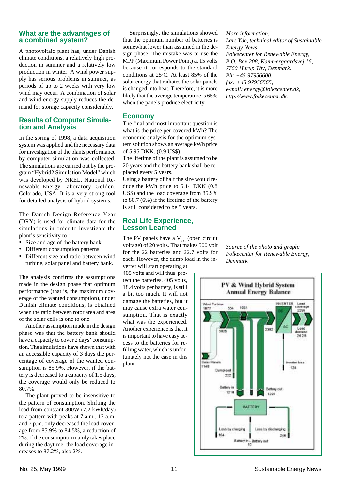#### **What are the advantages of a combined system?**

A photovoltaic plant has, under Danish climate conditions, a relatively high production in summer and a relatively low production in winter. A wind power supply has serious problems in summer, as periods of up to 2 weeks with very low wind may occur. A combination of solar and wind energy supply reduces the demand for storage capacity considerably.

#### **Results of Computer Simulation and Analysis**

In the spring of 1998, a data acquisition system was applied and the necessary data for investigation of the plants performance by computer simulation was collected. The simulations are carried out by the program "Hybrid2 Simulation Model" which was developed by NREL, National Renewable Energy Laboratory, Golden, Colorado, USA. It is a very strong tool for detailed analysis of hybrid systems.

The Danish Design Reference Year (DRY) is used for climate data for the simulations in order to investigate the plant's sensitivity to :

- Size and age of the battery bank
- Different consumption patterns
- Different size and ratio between wind turbine, solar panel and battery bank.

The analysis confirms the assumptions made in the design phase that optimum performance (that is, the maximum coverage of the wanted consumption), under Danish climate conditions, is obtained when the ratio between rotor area and area of the solar cells is one to one.

Another assumption made in the design phase was that the battery bank should have a capacity to cover 2 days' consumption. The simulations have shown that with an accessible capacity of 3 days the percentage of coverage of the wanted consumption is 85.9%. However, if the battery is decreased to a capacity of 1.5 days, the coverage would only be reduced to 80.7%.

The plant proved to be insensitive to the pattern of consumption. Shifting the load from constant 300W (7.2 kWh/day) to a pattern with peaks at 7 a.m., 12 a.m. and 7 p.m. only decreased the load coverage from 85.9% to 84.5%, a reduction of 2%. If the consumption mainly takes place during the daytime, the load coverage increases to 87.2%, also 2%.

Surprisingly, the simulations showed that the optimum number of batteries is somewhat lower than assumed in the design phase. The mistake was to use the MPP (Maximum Power Point) at 15 volts because it corresponds to the standard conditions at  $25^{\circ}$ C. At least 85% of the solar energy that radiates the solar panels is changed into heat. Therefore, it is more likely that the average temperature is 65% when the panels produce electricity.

#### **Economy**

The final and most important question is what is the price per covered kWh? The economic analysis for the optimum system solution shows an average kWh price of 5.95 DKK. (0.9 US\$).

The lifetime of the plant is assumed to be 20 years and the battery bank shall be replaced every 5 years.

Using a battery of half the size would reduce the kWh price to 5.14 DKK (0.8 US\$) and the load coverage from 85.9% to 80.7 (6%) if the lifetime of the battery is still considered to be 5 years.

#### **Real Life Experience, Lesson Learned**

The PV panels have a  $V_{\rm oc}$  (open circuit voltage) of 20 volts. That makes 500 volt for the 22 batteries and 22.7 volts for each. However, the dump load in the in-

verter will start operating at 405 volts and will thus protect the batteries. 405 volts, 18.4 volts per battery, is still a bit too much. It will not damage the batteries, but it may cause extra water consumption. That is exactly what was the experienced. Another experience is that it is important to have easy access to the batteries for refilling water, which is unfortunately not the case in this plant.

*Source of the photo and graph: Folkecenter for Renewable Energy, Denmark*



*More information: Lars Yde, technical editor of Sustainable Energy News, Folkecenter for Renewable Energy, P.O. Box 208, Kammergaardsvej 16, 7760 Hurup Thy, Denmark. Ph: +45 97956600, fax: +45 97956565, e-mail: energy@folkecenter.dk, http://www.folkecenter.dk.*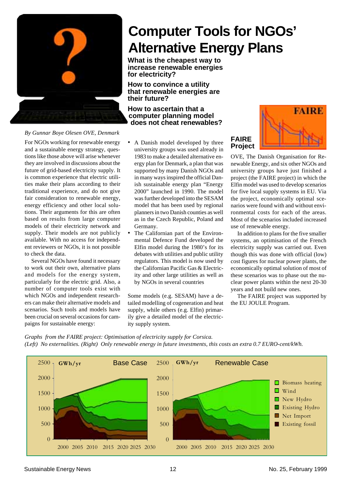

*By Gunnar Boye Olesen OVE, Denmark*

For NGOs working for renewable energy and a sustainable energy strategy, questions like those above will arise whenever they are involved in discussions about the future of grid-based electricity supply. It is common experience that electric utilities make their plans according to their traditional experience, and do not give fair consideration to renewable energy, energy efficiency and other local solutions. Their arguments for this are often based on results from large computer models of their electricity network and supply. Their models are not publicly available. With no access for independent reviewers or NGOs, it is not possible to check the data.

Several NGOs have found it necessary to work out their own, alternative plans and models for the energy system, particularly for the electric grid. Also, a number of computer tools exist with which NGOs and independent researchers can make their alternative models and scenarios. Such tools and models have been crucial on several occasions for campaigns for sustainable energy:

- A Danish model developed by three university groups was used already in 1983 to make a detailed alternative energy plan for Denmark, a plan that was supported by many Danish NGOs and in many ways inspired the official Danish sustainable energy plan "Energy 2000" launched in 1990. The model was further developed into the SESAM model that has been used by regional planners in two Danish counties as well as in the Czech Republic, Poland and Germany.
- The Californian part of the Environmental Defence Fund developed the Elfin model during the 1980's for its debates with utilities and public utility regulators. This model is now used by the Californian Pacific Gas & Electricity and other large utilities as well as by NGOs in several countries

Some models (e.g. SESAM) have a detailed modelling of cogeneration and heat supply, while others (e.g. Elfin) primarily give a detailed model of the electricity supply system.



OVE, The Danish Organisation for Renewable Energy, and six other NGOs and university groups have just finished a project (the FAIRE project) in which the Elfin model was used to develop scenarios for five local supply systems in EU. Via the project, economically optimal scenarios were found with and without environmental costs for each of the areas. Most of the scenarios included increased use of renewable energy.

In addition to plans for the five smaller systems, an optimisation of the French electricity supply was carried out. Even though this was done with official (low) cost figures for nuclear power plants, the economically optimal solution of most of these scenarios was to phase out the nuclear power plants within the next 20-30 years and not build new ones.

The FAIRE project was supported by the EU JOULE Program.

*Graphs from the FAIRE project: Optimisation of electricity supply for Corsica. (Left) No externalities. (Right) Only renewable energy in future investments, this costs an extra 0.7 EURO-cent/kWh.*

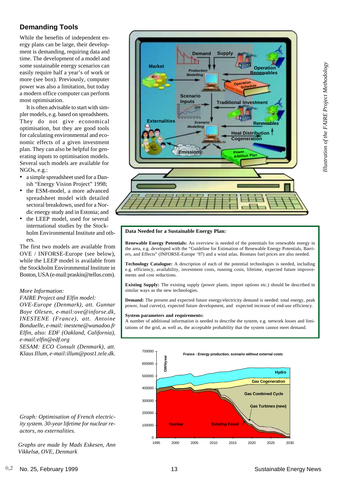# Illustration of the FAIRE Project Methodology *Illustration of the FAIRE Project Methodology*

#### **Demanding Tools**

While the benefits of independent energy plans can be large, their development is demanding, requiring data and time. The development of a model and some sustainable energy scenarios can easily require half a year's of work or more (see box). Previously, computer power was also a limitation, but today a modern office computer can perform most optimisation.

It is often advisable to start with simpler models, e.g. based on spreadsheets. They do not give economical optimisation, but they are good tools for calculating environmental and economic effects of a given investment plan. They can also be helpful for generating inputs to optimisation models. Several such models are available for NGOs, e.g.:

- a simple spreadsheet used for a Danish "Energy Vision Project" 1998;
- the ESM-model, a more advanced spreadsheet model with detailed sectoral breakdown, used for a Nordic energy study and in Estonia; and
- the LEEP model, used for several international studies by the Stockholm Environmental Institute and others.

The first two models are available from OVE / INFORSE-Europe (see below), while the LEEP model is available from the Stockholm Environmental Institute in Boston, USA (e-mail:praskin@tellus.com).

#### *More Information:*

*FAIRE Project and Elfin model: OVE-Europe (Denmark), att. Gunnar Boye Olesen, e-mail:ove@inforse.dk, INESTENE (France), att. Antoine Bonduelle, e-mail: inestene@wanadoo.fr Elfin, also: EDF (Oakland, California), e-mail:elfin@edf.org*

*SESAM: ECO Consult (Denmark), att. Klaus Illum, e-mail:illum@post1.tele.dk.*



#### **Data Needed for a Sustainable Energy Plan:**

**Renewable Energy Potentials:** An overview is needed of the potentials for renewable energy in the area, e.g. developed with the "Guideline for Estimation of Renewable Energy Potentials, Barriers, and Effects" (INFORSE-Europe '97) and a wind atlas. Biomass fuel prices are also needed.

**Technology Catalogue:** A description of each of the potential technologies is needed, including e.g. efficiency, availability, investment costs, running costs, lifetime, expected future improvements and cost reductions.

**Existing Supply:** The existing supply (power plants, import options etc.) should be described in similar ways as the new technologies.

**Demand:** The present and expected future energy/electricity demand is needed: total energy, peak power, load curve(s), expected future development, and expected increase of end-use efficiency.

#### **System parameters and requirements:**

A number of additional information is needed to describe the system, e.g. network losses and limitations of the grid, as well as, the acceptable probability that the system cannot meet demand.



*Graph: Optimisation of French electricity system. 30-year lifetime for nuclear reactors, no externalities.*

*Graphs are made by Mads Eskesen, Ann Vikkelsø, OVE, Denmark*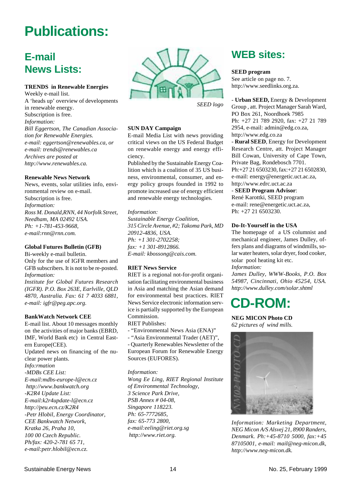# **Publications:**

## **E-mail News Lists:**

#### **TRENDS in Renewable Energies**

Weekly e-mail list. A 'heads up' overview of developments in renewable energy. Subscription is free. *Information: Bill Eggertson, The Canadian Association for Renewable Energies. e-mail: eggertson@renewables.ca, or e-mail: trends@renewables.ca Archives are posted at http://www.renewables.ca.*

#### **Renewable News Network**

News, events, solar utilities info, environmental review on e-mail. Subscription is free. *Information: Ross M. Donald,RNN, 44 Norfolk Street, Needham, MA 02492 USA. Ph: +1-781-453-9668, e-mail:rnn@rnn.com.*

#### **Global Futures Bulletin (GFB)**

Bi-weekly e-mail bulletin. Only for the use of IGFR members and GFB subscribers. It is not to be re-posted. *Information:*

*Institute for Global Futures Research (IGFR). P.O. Box 263E, Earlville, QLD 4870, Australia. Fax: 61 7 4033 6881, e-mail: igfr@peg.apc.org.*

#### **BankWatch Network CEE**

E-mail list. About 10 messages monthly on the activities of major banks (EBRD, IMF, World Bank etc) in Central Eastern Europe(CEE). Updated news on financing of the nuclear power plants. *Info:rmation -MDBs CEE List: E-mail:mdbs-europe-l@ecn.cz http://www.bankwatch.org -K2R4 Update List: E-mail:k2r4update-l@ecn.cz http://peu.ecn.cz/K2R4 -Petr Hlobil, Energy Coordinator, CEE Bankwatch Network, Kratka 26, Praha 10, 100 00 Czech Republic. Ph/fax: 420-2-781 65 71, e-mail:petr.hlobil@ecn.cz.*



*SEED logo*

#### **SUN DAY Campaign**

E-mail Media List with news providing critical views on the US Federal Budget on renewable energy and energy efficiency.

Published by the Sustainable Energy Coalition which is a coalition of 35 US business, environmental, consumer, and energy policy groups founded in 1992 to promote increased use of energy efficient and renewable energy technologies.

#### *Information:*

*Sustainable Energy Coalition, 315 Circle Avenue, #2; Takoma Park, MD 20912-4836, USA. Ph: +1 301-2702258; fax: +1 301-8912866. E-mail: kbossong@cais.com.*

#### **RIET News Service**

RIET is a regional not-for-profit organisation facilitating environmental business in Asia and matching the Asian demand for environmental best practices. RIET News Service electronic information service is partially supported by the European Commission.

RIET Publishes:

- "Environmental News Asia (ENA)"
- "Asia Environmental Trader (AET)",

- Quarterly Renewables Newsletter of the European Forum for Renewable Energy Sources (EUFORES).

*Information: Wong Ee Ling, RIET Regional Institute of Environmental Technology, 3 Science Park Drive, PSB Annex # 04-08, Singapore 118223. Ph: 65-7772685, fax: 65-773 2800, e-mail:eeling@riet.org.sg http://www.riet.org.*

### **WEB sites:**

#### **SEED program**

See article on page no. 7. http://www.seedlinks.org.za.

- **Urban SEED,** Energy & Development Group , att. Project Manager Sarah Ward, PO Box 261, Noordhoek 7985 Ph: +27 21 789 2920, fax: +27 21 789 2954, e-mail: admin@edg.co.za, http://www.edg.co.za

- **Rural SEED**, Energy for Development Research Centre, att. Project Manager Bill Cowan, University of Cape Town, Private Bag, Rondebosch 7701. Ph:+27 21 6503230, fax:+27 21 6502830, e-mail: energy@energetic.uct.ac.za, http://www.edrc.uct.ac.za

#### - **SEED Program Advisor**:

René Karottki, SEED program e-mail: rene@energetic.uct.ac.za, Ph: +27 21 6503230.

#### **Do-It-Yourself in the USA**

The homepage of a US columnist and mechanical engineer, James Dulley, offers plans and diagrams of windmills, solar water heaters, solar dryer, food cooker, solar pool heating kit etc. *Information:*

*James Dulley, WWW-Books, P.O. Box 54987, Cincinnati, Ohio 45254, USA. http://www.dulley.com/solar.shtml*

# **CD-ROM:**

**NEG MICON Photo CD** *62 pictures of wind mills.*



*Information: Marketing Department, NEG Micon A/S Alsvej 21, 8900 Randers, Denmark. Ph:+45-8710 5000, fax:+45 87105001, e-mail: mail@neg-micon.dk, http://www.neg-micon.dk.*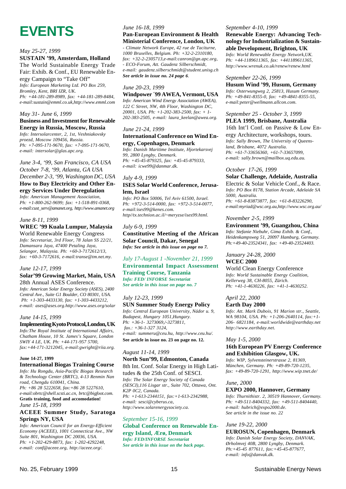# **EVENTS**

#### *May 25-27, 1999* **SUSTAIN '99, Amsterdam, Holland**

The World Sustainable Energy Trade Fair: Exhib. & Conf., EU Renewable Energy Campaign to "Take Off" *Info: European Marketing Ltd. PO Box 259, Bromley, Kent, BRI IZR, UK. Ph: +44-181-289-8989, fax: +44-181-289-8484, e-mail:sustain@emml.co.uk,http://www.emml.com*

#### *May 31- June 6, 1999*

#### **Business and Investment for Renewable Energy in Russia, Moscow, Russia**

*Info: Intersolarcenter, 2, 1st, Veshniakovsky proezd, Moscow 109456, Russia. Ph: +7-095-171-9670, fax: +7-095-171-9670, e-mail: intersolar@glas.apc.org.*

*June 3-4, '99, San Francisco, CA USA October 7-8, '99, Atlanta, GA USA December 2-3, '99, Washington DC, USA* **How to Buy Electricity and Other Energy Services Under Deregulation**

*Info: American Management Association, Ph: +1-800-262-9699; fax: +1-518-891-0368, e-mail:cust\_serv@amanet.org, http://www.amanet.org*

#### *June 8-11, 1999*

#### **WREC '99 Kuala Lumpur, Malaysia** World Renewable Energy Congress

*Info: Secretariat, 3rd Floor, 78 Jalan SS 22/21, Damansara Jaya, 47400 Petaling Jaya, Selangor, Malaysia. Ph: +60-3-7172612/13, fax: +60-3-7172616, e-mail:transe@tm.net.my.*

#### *June 12-17, 1999*

#### **Solar'99 Growing Market, Main, USA** 28th Annual ASES Conference.

*Info: American Solar Energy Society (ASES), 2400 Central Ave., Suite G1 Boulder, CO 80301, USA. Ph: +1-303-4433130, fax: +1-303-4433212, e-mail: ases@ases.org.http://www.ases.org/solar*

#### *June 14-15, 1999*

**Implementing Kyoto Protocol, London, UK** *Info:The Royal Institute of International Affairs, Chatham House, 10 St. James's Square, London SWIY 4 LE, UK. Ph: +44-171-957 5700, fax:+44-171-3212045, e-mail:gwright@riia.org.*

#### **June 14-27, 1999**

#### **International Biogas Training Course**

*Info: Hu Rongdu, Asia-Pacific Biogas Research & Technology Center (BRTC), 4-13 Renmin Nan road, Chengdu 610041, China. Ph: +86 28 5222658, fax:+86 28 5227610, e-mail:obrtc@shell.scsti.ac.cn, brtc@bigfoot.com.* **Gratis training, food and accomodation!** *June 15-18, 1999*

#### **ACEEE Summer Study, Saratoga Springs NY, USA**

*Info: American Council for an Energy-Efficient Economy (ACEEE), 1001 Connecticut Ave., NW Suite 801, Washington DC 20036, USA. Ph: +1-202-429-8873, fax: 1-202-4292248, e-mail: conf@aceee.org, http://aceee.org/.*

#### *June 16-18, 1999*

#### **Pan-European Environment & Health Ministerial Conference, London, UK**

*- Climate Network Europe, 42 rue de Taciturne, 1000 Bruxelles, Belgium. Ph: +32-2-2310180, fax: +32-2-2305713,e-mail:canron@gn.apc.org, - ECO-Forum, Att. Gaudenz Silberschmidt, e-mail: gaudenz.silberschmidt@student.unisg.ch See article in issue no. 24 page 6.*

#### *June 20-23, 1999*

#### **Windpower ´99 AWEA, Vermont, USA**

*Info: American Wind Energy Association (AWEA), 122 C Street, NW, 4th Floor, Washington DC, 20001, USA. Ph: +1-202-383-2500, fax: + 1- 202-383-2505, e-mail: laura\_keelan@awea.org.*

#### *June 21-24, 1999* **International Conference on Wind Energy, Copenhagen, Denmark**

*Info: Danish Maritime Institute, Hjortekarsvej 99, 2800 Lyngby, Denmark. Ph: +45-45-879325, fax: +45-45-879333, e-mail: icwe99@danmar.dk.*

#### *July 4-9, 1999*

#### **ISES Solar World Conference, Jerusalem, Israel**

*Info: PO Box 50006, Tel Aviv 61500, Israel. Ph: +972-3-514-0000, fax: +972-3-514-0077, e-mail:ises99@kenes.com. http//tx.technion.ac.il/~meryzse/ises99.html.*

#### *July 6-9, 1999*

**Constitutive Meeting of the African Solar Council, Dakar, Senegal** *Info: See article in this issue on page no 7.*

#### *July 17-August 1 -November 21, 1999*

**Environmental Impact Assessment Training Course, Tanzania** *Info: FED/ INFORSE Secretariat See article in this issue on page no. 7*

#### *July 12-23, 1999*

#### **SUN Summer Study Energy Policy** *Info: Central European University, Nádor u. 9, Budapest, Hungary 1051,Hungary. Ph: +36-1- 3273069,/-3273811, fax.: +36-1-327 3124, e-mail: summeru@ceu.hu, http://www.ceu.hu/.* **See article in issue no. 23 on page no. 12.**

#### *August 11-14, 1999*

#### **North Sun'99, Edmonton, Canada** 8th Int. Conf. Solar Energy in High Latitudes & the 25th Conf. of SESCI. *Info: The Solar Energy Society of Canada (SESCI),116 Lisgar str., Suite 702, Ottawa, Ont. K2P 0C2, Canada. Ph: +1-613-2344151, fax:+1-613-2342988, e-mail: sesci@cyberus.ca, http://www.solarenergysociety.ca.*

#### *September 15-16, 1999*

**Global Conference on Renewable Energy Island, Ærø, Denmark** *Info: FED/INFORSE Secretariat See article in this issue on the back page.*

#### *September 4-10, 1999*

#### **Renewable Energy: Advancing Technology for Industrialization & Sustainable Development, Brighton, UK** *Info: World Renewable Energy Network,UK.*

*Ph: +44-1189611365, fax: +441189611365, http://www.wrenuk.co.uk/renew/renew.html*

#### *September 22-26, 1999*

**Husum Wind '99, Husum, Germany** *Info: Osterwungweg 2, 25813, Husum Germany. Ph: +49-841-8355-0, fax: +49-4841-8355-55, e-mail:peter@wellmann.allcon.com.*

#### *September 25 - October 3, 1999* **PLEA 1999, Brisbane, Australia**

16th Int'l Conf. on Passive & Low En-

ergy Architecture, workshops, tours. *Info: Sally Brown, The University of Queensland, Brisbane, 4072 Australia. Ph: +61-7-33656360, +61-7-33657099, e-mail: sally.brown@mailbox.uq.edu.au.*

#### *October 17-26, 1999*

#### **Solar Challenge, Adelaide, Australia**

Electric & Solar Vehicle Conf., & Race. *Info: PO Box 8178, Station Arcade, Adelaide SA 5000, Australia.*

*Ph: +61-8-83873877, fax: +61-8-83226290, e-mail:myriad@wsc.org.au,http://www.wsc.org.au/*

#### *November 2-5, 1999*

#### **Environment '99, Guangzhou, China**

*Info: Stefanie Niebuhr, Gima Exhib. & Conf., Heidenkampsweg 51, 20097 Hamburg, Germany. Ph:+49-40-23524341, fax: +49-40-23524403.*

#### *January 24-28, 2000* **WCEC 2000**

World Clean Energy Conference *Info: World Sustainable Energy Coalition, Kellerweg 38, CH-8055, Zürich. Ph: +41-1-4630226, fax: +41-1-4630252.*

#### *April 22, 2000*

#### **Earth Day 2000**

*Info: Att. Mark Dubois, 91 Marion str., Seattle, WA 98104, USA. Ph: +1-206-2640114, fax:+1- 206- 6821184, e-mail:worldwide@earthday.net http://www.earthday.net.*

#### *May 1-5, 2000*

#### **16th European PV Energy Conference and Exhibition Glasgow, UK.**

*Info: WIP, Sylvensteinerstrasse 2, 81369, München, Germany. Ph: +49-89-720-1235, fax: +49-89-720-1291, http://www.wip.tnet.de/*

#### *June, 2000*

#### **EXPO 2000, Hannover, Germany**

*Info: Thurnithistr. 2, 30519 Hannover, Germany. Ph: +49-511-8404332, fax: +49-511-8404440, e-mail: hubrich@expo2000.de. See article in the issue no. 22*

#### *June 19-22, 2000*

**EUROSUN, Copenhagen, Denmark** *Info: Danish Solar Energy Society, DANVAK, Ørholmvej 40B, 2800 Lyngby, Denmark. Ph:+45-45 877611, fax:+45-45-877677, e-mail: info@danvak.dk.*